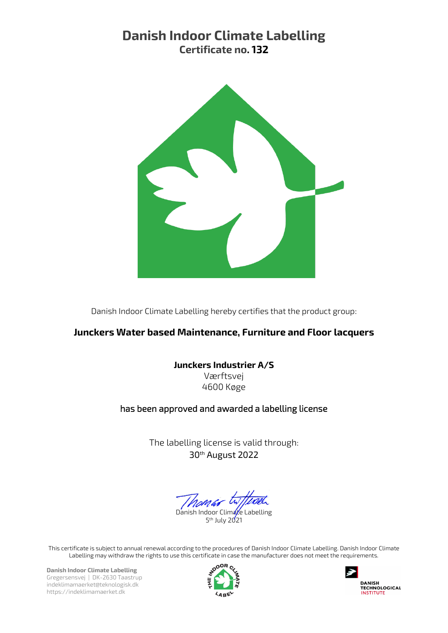# Danish Indoor Climate Labelling Certificate no. 132



Danish Indoor Climate Labelling hereby certifies that the product group:

## Junckers Water based Maintenance, Furniture and Floor lacquers

### Junckers Industrier A/S

Værftsvej 4600 Køge

### has been approved and awarded a labelling license

The labelling license is valid through: 30th August 2022

Climate Labelling 5<sup>th</sup> July 2021

This certificate is subject to annual renewal according to the procedures of Danish Indoor Climate Labelling. Danish Indoor Climate Labelling may withdraw the rights to use this certificate in case the manufacturer does not meet the requirements.

Danish Indoor Climate Labelling Gregersensvej | DK-2630 Taastrup indeklimamaerket@teknologisk.dk https://indeklimamaerket.dk